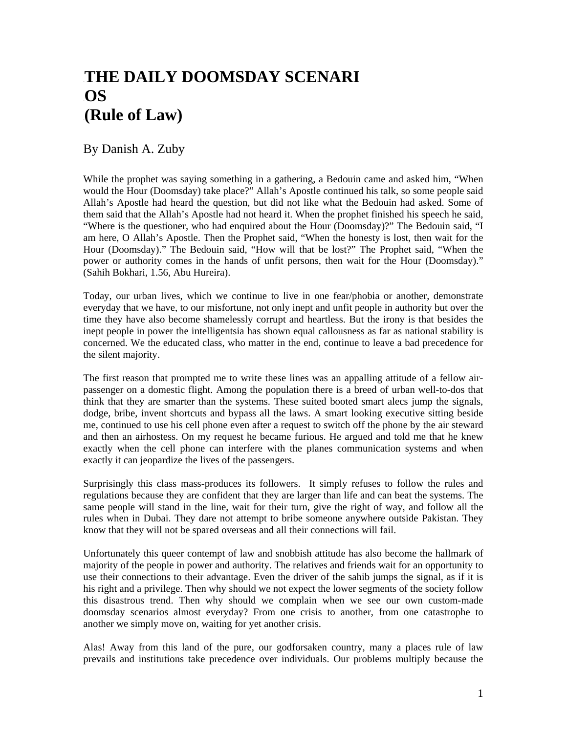## THE DAILY DOOMSDAY SCENARI 1B**OS**  2B**(Rule of Law)**

By Danish A. Zuby

While the prophet was saying something in a gathering, a Bedouin came and asked him, "When would the Hour (Doomsday) take place?" Allah's Apostle continued his talk, so some people said Allah's Apostle had heard the question, but did not like what the Bedouin had asked. Some of them said that the Allah's Apostle had not heard it. When the prophet finished his speech he said, "Where is the questioner, who had enquired about the Hour (Doomsday)?" The Bedouin said, "I am here, O Allah's Apostle. Then the Prophet said, "When the honesty is lost, then wait for the Hour (Doomsday)." The Bedouin said, "How will that be lost?" The Prophet said, "When the power or authority comes in the hands of unfit persons, then wait for the Hour (Doomsday)." (Sahih Bokhari, 1.56, Abu Hureira).

Today, our urban lives, which we continue to live in one fear/phobia or another, demonstrate everyday that we have, to our misfortune, not only inept and unfit people in authority but over the time they have also become shamelessly corrupt and heartless. But the irony is that besides the inept people in power the intelligentsia has shown equal callousness as far as national stability is concerned. We the educated class, who matter in the end, continue to leave a bad precedence for the silent majority.

The first reason that prompted me to write these lines was an appalling attitude of a fellow airpassenger on a domestic flight. Among the population there is a breed of urban well-to-dos that think that they are smarter than the systems. These suited booted smart alecs jump the signals, dodge, bribe, invent shortcuts and bypass all the laws. A smart looking executive sitting beside me, continued to use his cell phone even after a request to switch off the phone by the air steward and then an airhostess. On my request he became furious. He argued and told me that he knew exactly when the cell phone can interfere with the planes communication systems and when exactly it can jeopardize the lives of the passengers.

Surprisingly this class mass-produces its followers. It simply refuses to follow the rules and regulations because they are confident that they are larger than life and can beat the systems. The same people will stand in the line, wait for their turn, give the right of way, and follow all the rules when in Dubai. They dare not attempt to bribe someone anywhere outside Pakistan. They know that they will not be spared overseas and all their connections will fail.

Unfortunately this queer contempt of law and snobbish attitude has also become the hallmark of majority of the people in power and authority. The relatives and friends wait for an opportunity to use their connections to their advantage. Even the driver of the sahib jumps the signal, as if it is his right and a privilege. Then why should we not expect the lower segments of the society follow this disastrous trend. Then why should we complain when we see our own custom-made doomsday scenarios almost everyday? From one crisis to another, from one catastrophe to another we simply move on, waiting for yet another crisis.

Alas! Away from this land of the pure, our godforsaken country, many a places rule of law prevails and institutions take precedence over individuals. Our problems multiply because the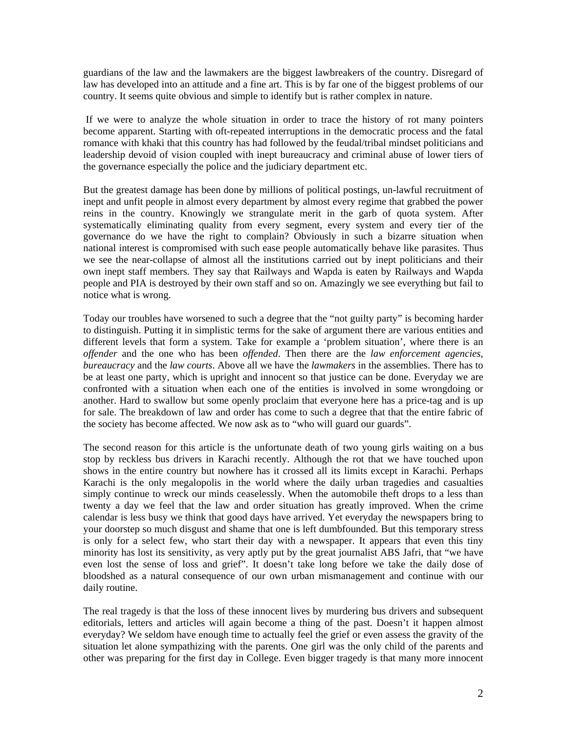guardians of the law and the lawmakers are the biggest lawbreakers of the country. Disregard of law has developed into an attitude and a fine art. This is by far one of the biggest problems of our country. It seems quite obvious and simple to identify but is rather complex in nature.

 If we were to analyze the whole situation in order to trace the history of rot many pointers become apparent. Starting with oft-repeated interruptions in the democratic process and the fatal romance with khaki that this country has had followed by the feudal/tribal mindset politicians and leadership devoid of vision coupled with inept bureaucracy and criminal abuse of lower tiers of the governance especially the police and the judiciary department etc.

But the greatest damage has been done by millions of political postings, un-lawful recruitment of inept and unfit people in almost every department by almost every regime that grabbed the power reins in the country. Knowingly we strangulate merit in the garb of quota system. After systematically eliminating quality from every segment, every system and every tier of the governance do we have the right to complain? Obviously in such a bizarre situation when national interest is compromised with such ease people automatically behave like parasites. Thus we see the near-collapse of almost all the institutions carried out by inept politicians and their own inept staff members. They say that Railways and Wapda is eaten by Railways and Wapda people and PIA is destroyed by their own staff and so on. Amazingly we see everything but fail to notice what is wrong.

Today our troubles have worsened to such a degree that the "not guilty party" is becoming harder to distinguish. Putting it in simplistic terms for the sake of argument there are various entities and different levels that form a system. Take for example a 'problem situation', where there is an *offender* and the one who has been *offended*. Then there are the *law enforcement agencies, bureaucracy* and the *law courts*. Above all we have the *lawmakers* in the assemblies. There has to be at least one party, which is upright and innocent so that justice can be done. Everyday we are confronted with a situation when each one of the entities is involved in some wrongdoing or another. Hard to swallow but some openly proclaim that everyone here has a price-tag and is up for sale. The breakdown of law and order has come to such a degree that that the entire fabric of the society has become affected. We now ask as to "who will guard our guards".

The second reason for this article is the unfortunate death of two young girls waiting on a bus stop by reckless bus drivers in Karachi recently. Although the rot that we have touched upon shows in the entire country but nowhere has it crossed all its limits except in Karachi. Perhaps Karachi is the only megalopolis in the world where the daily urban tragedies and casualties simply continue to wreck our minds ceaselessly. When the automobile theft drops to a less than twenty a day we feel that the law and order situation has greatly improved. When the crime calendar is less busy we think that good days have arrived. Yet everyday the newspapers bring to your doorstep so much disgust and shame that one is left dumbfounded. But this temporary stress is only for a select few, who start their day with a newspaper. It appears that even this tiny minority has lost its sensitivity, as very aptly put by the great journalist ABS Jafri, that "we have even lost the sense of loss and grief". It doesn't take long before we take the daily dose of bloodshed as a natural consequence of our own urban mismanagement and continue with our daily routine.

The real tragedy is that the loss of these innocent lives by murdering bus drivers and subsequent editorials, letters and articles will again become a thing of the past. Doesn't it happen almost everyday? We seldom have enough time to actually feel the grief or even assess the gravity of the situation let alone sympathizing with the parents. One girl was the only child of the parents and other was preparing for the first day in College. Even bigger tragedy is that many more innocent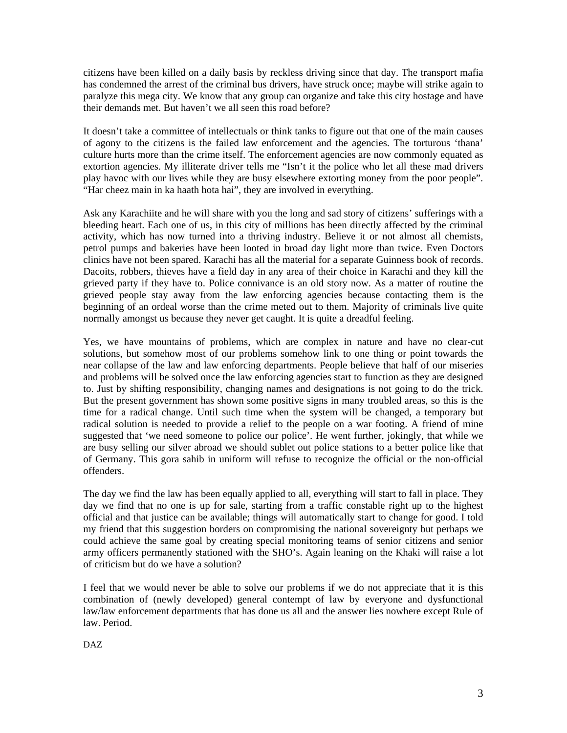citizens have been killed on a daily basis by reckless driving since that day. The transport mafia has condemned the arrest of the criminal bus drivers, have struck once; maybe will strike again to paralyze this mega city. We know that any group can organize and take this city hostage and have their demands met. But haven't we all seen this road before?

It doesn't take a committee of intellectuals or think tanks to figure out that one of the main causes of agony to the citizens is the failed law enforcement and the agencies. The torturous 'thana' culture hurts more than the crime itself. The enforcement agencies are now commonly equated as extortion agencies. My illiterate driver tells me "Isn't it the police who let all these mad drivers play havoc with our lives while they are busy elsewhere extorting money from the poor people". "Har cheez main in ka haath hota hai", they are involved in everything.

Ask any Karachiite and he will share with you the long and sad story of citizens' sufferings with a bleeding heart. Each one of us, in this city of millions has been directly affected by the criminal activity, which has now turned into a thriving industry. Believe it or not almost all chemists, petrol pumps and bakeries have been looted in broad day light more than twice. Even Doctors clinics have not been spared. Karachi has all the material for a separate Guinness book of records. Dacoits, robbers, thieves have a field day in any area of their choice in Karachi and they kill the grieved party if they have to. Police connivance is an old story now. As a matter of routine the grieved people stay away from the law enforcing agencies because contacting them is the beginning of an ordeal worse than the crime meted out to them. Majority of criminals live quite normally amongst us because they never get caught. It is quite a dreadful feeling.

Yes, we have mountains of problems, which are complex in nature and have no clear-cut solutions, but somehow most of our problems somehow link to one thing or point towards the near collapse of the law and law enforcing departments. People believe that half of our miseries and problems will be solved once the law enforcing agencies start to function as they are designed to. Just by shifting responsibility, changing names and designations is not going to do the trick. But the present government has shown some positive signs in many troubled areas, so this is the time for a radical change. Until such time when the system will be changed, a temporary but radical solution is needed to provide a relief to the people on a war footing. A friend of mine suggested that 'we need someone to police our police'. He went further, jokingly, that while we are busy selling our silver abroad we should sublet out police stations to a better police like that of Germany. This gora sahib in uniform will refuse to recognize the official or the non-official offenders.

The day we find the law has been equally applied to all, everything will start to fall in place. They day we find that no one is up for sale, starting from a traffic constable right up to the highest official and that justice can be available; things will automatically start to change for good. I told my friend that this suggestion borders on compromising the national sovereignty but perhaps we could achieve the same goal by creating special monitoring teams of senior citizens and senior army officers permanently stationed with the SHO's. Again leaning on the Khaki will raise a lot of criticism but do we have a solution?

I feel that we would never be able to solve our problems if we do not appreciate that it is this combination of (newly developed) general contempt of law by everyone and dysfunctional law/law enforcement departments that has done us all and the answer lies nowhere except Rule of law. Period.

DAZ